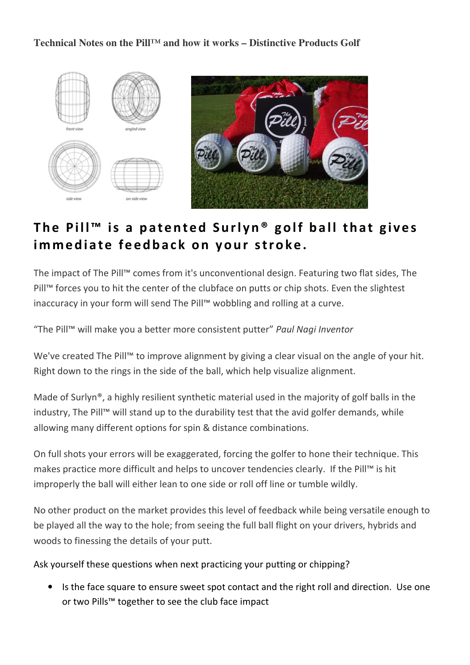**Technical Notes on the Pill™ and how it works – Distinctive Products Golf** 



## The Pill<sup>"</sup> is a patented Surlyn<sup>®</sup> golf ball that gives im mediate feedback on your stroke.

The impact of The Pill™ comes from it's unconventional design. Featuring two flat sides, The Pill™ forces you to hit the center of the clubface on putts or chip shots. Even the slightest inaccuracy in your form will send The Pill™ wobbling and rolling at a curve.

"The Pill™ will make you a better more consistent putter" Paul Nagi Inventor

We've created The Pill™ to improve alignment by giving a clear visual on the angle of your hit. Right down to the rings in the side of the ball, which help visualize alignment.

Made of Surlyn®, a highly resilient synthetic material used in the majority of golf balls in the industry, The Pill™ will stand up to the durability test that the avid golfer demands, while allowing many different options for spin & distance combinations.

On full shots your errors will be exaggerated, forcing the golfer to hone their technique. This makes practice more difficult and helps to uncover tendencies clearly. If the Pill™ is hit improperly the ball will either lean to one side or roll off line or tumble wildly.

No other product on the market provides this level of feedback while being versatile enough to be played all the way to the hole; from seeing the full ball flight on your drivers, hybrids and woods to finessing the details of your putt.

Ask yourself these questions when next practicing your putting or chipping?

• Is the face square to ensure sweet spot contact and the right roll and direction. Use one or two Pills™ together to see the club face impact